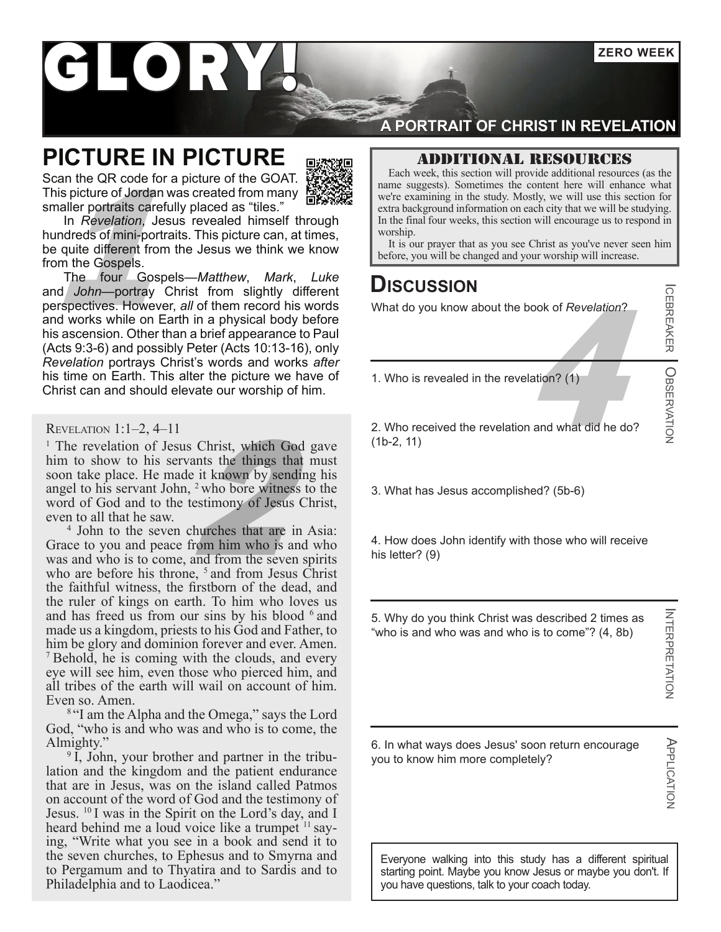**ZERO WEEK**

# KORY

### **PICTURE IN PICTURE**

Scan the QR code for a picture of the GOAT. This picture of Jordan was created from many smaller portraits carefully placed as "tiles."



It is our prayer that as you see Christ as you've never seen him before, you will be changed and your worship will increase.<br>
The four Gospels—Matthew, Mark, Luke<br>
It is our prayer that as you see Christ as you've never se In *Revelation*, Jesus revealed himself through hundreds of mini-portraits. This picture can, at times, be quite different from the Jesus we think we know from the Gospels.

The four Gospels—*Matthew*, *Mark*, *Luke*  and *John*—portray Christ from slightly different perspectives. However, *all* of them record his words and works while on Earth in a physical body before his ascension. Other than a brief appearance to Paul (Acts 9:3-6) and possibly Peter (Acts 10:13-16), only *Revelation* portrays Christ's words and works *after*  his time on Earth. This alter the picture we have of Christ can and should elevate our worship of him.

#### Revelation 1:1–2, 4–11

Christ, which God ants the things that if the set of the set of the set of the set of the set of the set of the set of the set of the set of the set of the set of the set of the set of the set of the set of the set of the <sup>1</sup> The revelation of Jesus Christ, which God gave him to show to his servants the things that must soon take place. He made it known by sending his angel to his servant John,  $2$  who bore witness to the word of God and to the testimony of Jesus Christ, even to all that he saw.

4 John to the seven churches that are in Asia: Grace to you and peace from him who is and who was and who is to come, and from the seven spirits who are before his throne,  $5$  and from Jesus Christ the faithful witness, the firstborn of the dead, and the ruler of kings on earth. To him who loves us and has freed us from our sins by his blood  $6$  and made us a kingdom, priests to his God and Father, to him be glory and dominion forever and ever. Amen. <sup>7</sup> Behold, he is coming with the clouds, and every eye will see him, even those who pierced him, and all tribes of the earth will wail on account of him. Even so. Amen.

<sup>8</sup> "I am the Alpha and the Omega," says the Lord God, "who is and who was and who is to come, the Almighty."

<sup>9</sup> I, John, your brother and partner in the tribulation and the kingdom and the patient endurance that are in Jesus, was on the island called Patmos on account of the word of God and the testimony of Jesus. 10 I was in the Spirit on the Lord's day, and I heard behind me a loud voice like a trumpet <sup>11</sup> saying, "Write what you see in a book and send it to the seven churches, to Ephesus and to Smyrna and to Pergamum and to Thyatira and to Sardis and to Philadelphia and to Laodicea."

### **A PORTRAIT OF CHRIST IN REVELATION**

### Additional resources

Each week, this section will provide additional resources (as the name suggests). Sometimes the content here will enhance what we're examining in the study. Mostly, we will use this section for extra background information on each city that we will be studying. In the final four weeks, this section will encourage us to respond in

worship.<br>It is our prayer that as you see Christ as you've never seen him

### **Discussion**

What do you know about the book of *Revelation*?

 $\frac{4}{\pi}$ 1. Who is revealed in the revelation? (1)

2. Who received the revelation and what did he do? (1b-2, 11)

3. What has Jesus accomplished? (5b-6)

4. How does John identify with those who will receive his letter? (9)

5. Why do you think Christ was described 2 times as "who is and who was and who is to come"? (4, 8b)

**INTERPRETATION** INTERPRETATION

APPLICATION

**APPLICATION** 

ICEBREAKER

OBSERVATION

6. In what ways does Jesus' soon return encourage you to know him more completely?

Everyone walking into this study has a different spiritual starting point. Maybe you know Jesus or maybe you don't. If you have questions, talk to your coach today.